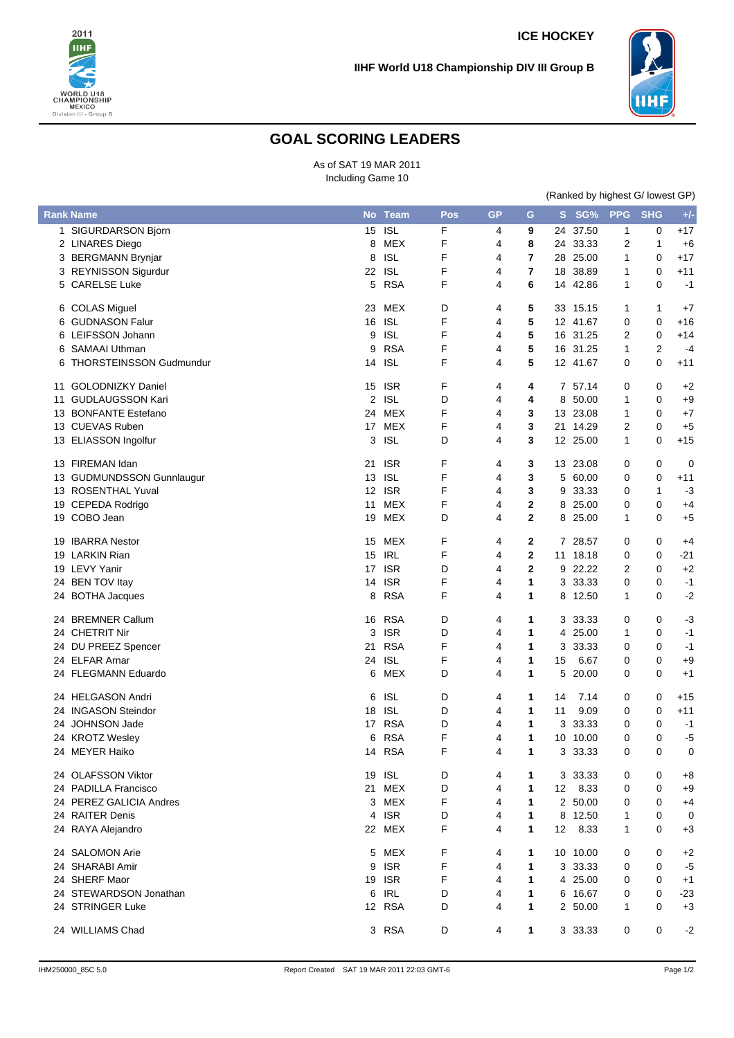

## **IIHF World U18 Championship DIV III Group B**

## **GOAL SCORING LEADERS**

As of SAT 19 MAR 2011 Including Game 10

|   |                                | (Ranked by highest G/ lowest GP) |            |     |           |             |    |          |              |            |       |
|---|--------------------------------|----------------------------------|------------|-----|-----------|-------------|----|----------|--------------|------------|-------|
|   | <b>Rank Name</b>               |                                  | No Team    | Pos | <b>GP</b> | G           |    | S SG%    | <b>PPG</b>   | <b>SHG</b> | $+/-$ |
|   | 1 SIGURDARSON Bjorn            | 15                               | <b>ISL</b> | F   | 4         | 9           | 24 | 37.50    | $\mathbf{1}$ | 0          | $+17$ |
|   | 2 LINARES Diego                | 8                                | MEX        | F   | 4         | 8           |    | 24 33.33 | 2            | 1          | $+6$  |
|   | 3 BERGMANN Brynjar             | 8                                | <b>ISL</b> | F   | 4         | 7           |    | 28 25.00 | 1            | 0          | $+17$ |
|   | 3 REYNISSON Sigurdur           |                                  | 22 ISL     | F   | 4         | 7           |    | 18 38.89 | 1            | 0          | $+11$ |
|   | 5 CARELSE Luke                 | 5                                | <b>RSA</b> | F   | 4         | 6           |    | 14 42.86 | 1            | 0          | $-1$  |
|   | 6 COLAS Miguel                 |                                  | 23 MEX     | D   | 4         | 5           |    | 33 15.15 | 1            | 1          | $+7$  |
| 6 | <b>GUDNASON Falur</b>          | 16                               | <b>ISL</b> | F   | 4         | 5           |    | 12 41.67 | 0            | 0          | $+16$ |
|   | 6 LEIFSSON Johann              | 9                                | <b>ISL</b> | F   | 4         | 5           |    | 16 31.25 | 2            | 0          | $+14$ |
| 6 | SAMAAI Uthman                  | 9                                | <b>RSA</b> | F   | 4         | 5           | 16 | 31.25    | 1            | 2          | $-4$  |
| 6 | <b>THORSTEINSSON Gudmundur</b> | 14                               | <b>ISL</b> | F   | 4         | 5           |    | 12 41.67 | 0            | 0          | $+11$ |
|   | 11 GOLODNIZKY Daniel           | 15                               | <b>ISR</b> | F   | 4         | 4           | 7  | 57.14    | 0            | 0          | $+2$  |
|   | 11 GUDLAUGSSON Kari            | 2                                | <b>ISL</b> | D   | 4         | 4           | 8  | 50.00    | 1            | 0          | $+9$  |
|   | 13 BONFANTE Estefano           | 24                               | MEX        | F   | 4         | 3           |    | 13 23.08 | 1            | 0          | $+7$  |
|   |                                |                                  |            | F   |           | 3           |    |          |              |            |       |
|   | 13 CUEVAS Ruben                | 17                               | MEX        |     | 4         |             | 21 | 14.29    | 2            | 0          | $+5$  |
|   | 13 ELIASSON Ingolfur           | 3                                | <b>ISL</b> | D   | 4         | 3           |    | 12 25.00 | $\mathbf{1}$ | 0          | $+15$ |
|   | 13 FIREMAN Idan                |                                  | 21 ISR     | F   | 4         | 3           |    | 13 23.08 | 0            | 0          | 0     |
|   | 13 GUDMUNDSSON Gunnlaugur      |                                  | 13 ISL     | F   | 4         | 3           | 5  | 60.00    | 0            | 0          | $+11$ |
|   | 13 ROSENTHAL Yuval             |                                  | 12 ISR     | F   | 4         | 3           | 9  | 33.33    | 0            | 1          | $-3$  |
|   | 19 CEPEDA Rodrigo              | 11                               | MEX        | F   | 4         | $\mathbf 2$ | 8  | 25.00    | 0            | 0          | $+4$  |
|   | 19 COBO Jean                   | 19                               | MEX        | D   | 4         | $\mathbf 2$ | 8  | 25.00    | 1            | 0          | $+5$  |
|   | 19 IBARRA Nestor               | 15                               | MEX        | F   | 4         | 2           | 7  | 28.57    | 0            | 0          | +4    |
|   | 19 LARKIN Rian                 | 15                               | <b>IRL</b> | F   | 4         | $\mathbf 2$ | 11 | 18.18    | 0            | 0          | $-21$ |
|   | 19 LEVY Yanir                  |                                  | 17 ISR     | D   | 4         | $\mathbf 2$ |    | 9 22.22  | 2            | 0          | $+2$  |
|   |                                |                                  |            |     |           |             |    |          |              |            |       |
|   | 24 BEN TOV Itay                |                                  | 14 ISR     | F   | 4         | 1           | 3  | 33.33    | 0            | 0          | $-1$  |
|   | 24 BOTHA Jacques               | 8                                | <b>RSA</b> | F   | 4         | 1           | 8  | 12.50    | 1            | 0          | $-2$  |
|   | 24 BREMNER Callum              |                                  | 16 RSA     | D   | 4         | 1           | 3  | 33.33    | 0            | 0          | $-3$  |
|   | 24 CHETRIT Nir                 | 3                                | <b>ISR</b> | D   | 4         | 1           | 4  | 25.00    | 1            | 0          | $-1$  |
|   | 24 DU PREEZ Spencer            | 21                               | <b>RSA</b> | F   | 4         | 1           | 3  | 33.33    | 0            | 0          | -1    |
|   | 24 ELFAR Arnar                 | 24                               | <b>ISL</b> | F   | 4         | 1           | 15 | 6.67     | 0            | 0          | $+9$  |
|   | 24 FLEGMANN Eduardo            | 6                                | MEX        | D   | 4         | 1           | 5  | 20.00    | 0            | 0          | $+1$  |
|   | 24 HELGASON Andri              | 6                                | <b>ISL</b> | D   | 4         | 1           | 14 | 7.14     | 0            | 0          | $+15$ |
|   | 24 INGASON Steindor            | 18                               | <b>ISL</b> | D   | 4         | 1           | 11 | 9.09     | 0            | 0          | $+11$ |
|   | 24 JOHNSON Jade                | 17 <sup>2</sup>                  | <b>RSA</b> | D   | 4         | 1           | 3  | 33.33    | 0            | 0          | $-1$  |
|   | 24 KROTZ Wesley                | 6                                | <b>RSA</b> | F   | 4         | 1           | 10 | 10.00    | $\Omega$     | 0          | $-5$  |
|   | 24 MEYER Haiko                 |                                  | 14 RSA     | F   | 4         | 1           |    | 3 33.33  | 0            | 0          | 0     |
|   | 24 OLAFSSON Viktor             |                                  | 19 ISL     | D   | 4         | 1           |    | 3 33.33  | 0            | 0          | +8    |
|   | 24 PADILLA Francisco           |                                  | 21 MEX     | D   | 4         | 1           | 12 | 8.33     | 0            | 0          | +9    |
|   | 24 PEREZ GALICIA Andres        |                                  | 3 MEX      | F   | 4         | 1           |    | 2 50.00  | 0            | 0          | $+4$  |
|   |                                |                                  |            |     |           |             |    |          |              |            |       |
|   | 24 RAITER Denis                |                                  | 4 ISR      | D   | 4         | 1           | 8  | 12.50    | 1            | 0          | 0     |
|   | 24 RAYA Alejandro              |                                  | 22 MEX     | F   | 4         | 1           | 12 | 8.33     | 1            | 0          | $+3$  |
|   | 24 SALOMON Arie                |                                  | 5 MEX      | F   | 4         | 1           | 10 | 10.00    | 0            | 0          | $+2$  |
|   | 24 SHARABI Amir                | 9                                | <b>ISR</b> | F   | 4         | 1           |    | 3 33.33  | 0            | 0          | $-5$  |
|   | 24 SHERF Maor                  |                                  | 19 ISR     | F   | 4         | 1           |    | 4 25.00  | 0            | 0          | $+1$  |
|   | 24 STEWARDSON Jonathan         |                                  | 6 IRL      | D   | 4         | 1           | 6  | 16.67    | 0            | 0          | $-23$ |
|   | 24 STRINGER Luke               |                                  | 12 RSA     | D   | 4         | 1           |    | 2 50.00  | 1            | 0          | $+3$  |
|   | 24 WILLIAMS Chad               |                                  | 3 RSA      | D   | 4         | 1           |    | 3 33.33  | 0            | 0          | $-2$  |